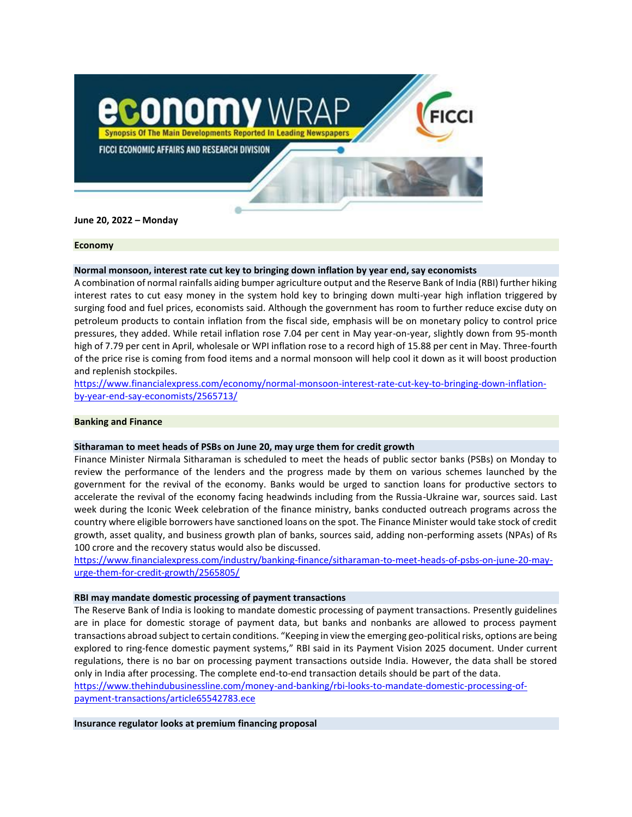

**June 20, 2022 – Monday**

### **Economy**

# **Normal monsoon, interest rate cut key to bringing down inflation by year end, say economists**

A combination of normal rainfalls aiding bumper agriculture output and the Reserve Bank of India (RBI) further hiking interest rates to cut easy money in the system hold key to bringing down multi-year high inflation triggered by surging food and fuel prices, economists said. Although the government has room to further reduce excise duty on petroleum products to contain inflation from the fiscal side, emphasis will be on monetary policy to control price pressures, they added. While retail inflation rose 7.04 per cent in May year-on-year, slightly down from 95-month high of 7.79 per cent in April, wholesale or WPI inflation rose to a record high of 15.88 per cent in May. Three-fourth of the price rise is coming from food items and a normal monsoon will help cool it down as it will boost production and replenish stockpiles.

[https://www.financialexpress.com/economy/normal-monsoon-interest-rate-cut-key-to-bringing-down-inflation](https://www.financialexpress.com/economy/normal-monsoon-interest-rate-cut-key-to-bringing-down-inflation-by-year-end-say-economists/2565713/)[by-year-end-say-economists/2565713/](https://www.financialexpress.com/economy/normal-monsoon-interest-rate-cut-key-to-bringing-down-inflation-by-year-end-say-economists/2565713/)

# **Banking and Finance**

## **Sitharaman to meet heads of PSBs on June 20, may urge them for credit growth**

Finance Minister Nirmala Sitharaman is scheduled to meet the heads of public sector banks (PSBs) on Monday to review the performance of the lenders and the progress made by them on various schemes launched by the government for the revival of the economy. Banks would be urged to sanction loans for productive sectors to accelerate the revival of the economy facing headwinds including from the Russia-Ukraine war, sources said. Last week during the Iconic Week celebration of the finance ministry, banks conducted outreach programs across the country where eligible borrowers have sanctioned loans on the spot. The Finance Minister would take stock of credit growth, asset quality, and business growth plan of banks, sources said, adding non-performing assets (NPAs) of Rs 100 crore and the recovery status would also be discussed.

[https://www.financialexpress.com/industry/banking-finance/sitharaman-to-meet-heads-of-psbs-on-june-20-may](https://www.financialexpress.com/industry/banking-finance/sitharaman-to-meet-heads-of-psbs-on-june-20-may-urge-them-for-credit-growth/2565805/)[urge-them-for-credit-growth/2565805/](https://www.financialexpress.com/industry/banking-finance/sitharaman-to-meet-heads-of-psbs-on-june-20-may-urge-them-for-credit-growth/2565805/)

## **RBI may mandate domestic processing of payment transactions**

The Reserve Bank of India is looking to mandate domestic processing of payment transactions. Presently guidelines are in place for domestic storage of payment data, but banks and nonbanks are allowed to process payment transactions abroad subject to certain conditions. "Keeping in view the emerging geo-political risks, options are being explored to ring-fence domestic payment systems," RBI said in its Payment Vision 2025 document. Under current regulations, there is no bar on processing payment transactions outside India. However, the data shall be stored only in India after processing. The complete end-to-end transaction details should be part of the data.

[https://www.thehindubusinessline.com/money-and-banking/rbi-looks-to-mandate-domestic-processing-of](https://www.thehindubusinessline.com/money-and-banking/rbi-looks-to-mandate-domestic-processing-of-payment-transactions/article65542783.ece)[payment-transactions/article65542783.ece](https://www.thehindubusinessline.com/money-and-banking/rbi-looks-to-mandate-domestic-processing-of-payment-transactions/article65542783.ece)

**Insurance regulator looks at premium financing proposal**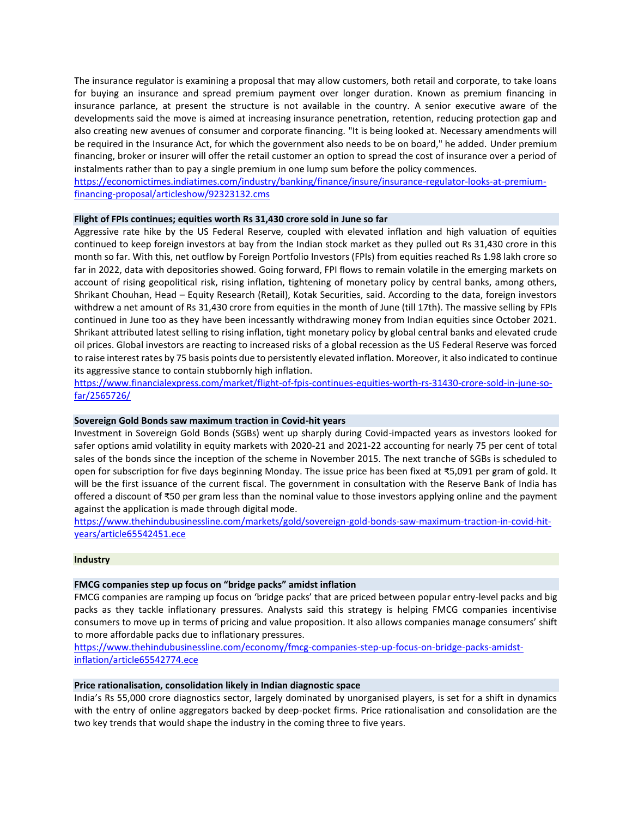The insurance regulator is examining a proposal that may allow customers, both retail and corporate, to take loans for buying an insurance and spread premium payment over longer duration. Known as premium financing in insurance parlance, at present the structure is not available in the country. A senior executive aware of the developments said the move is aimed at increasing insurance penetration, retention, reducing protection gap and also creating new avenues of consumer and corporate financing. "It is being looked at. Necessary amendments will be required in the Insurance Act, for which the government also needs to be on board," he added. Under premium financing, broker or insurer will offer the retail customer an option to spread the cost of insurance over a period of instalments rather than to pay a single premium in one lump sum before the policy commences.

[https://economictimes.indiatimes.com/industry/banking/finance/insure/insurance-regulator-looks-at-premium](https://economictimes.indiatimes.com/industry/banking/finance/insure/insurance-regulator-looks-at-premium-financing-proposal/articleshow/92323132.cms)[financing-proposal/articleshow/92323132.cms](https://economictimes.indiatimes.com/industry/banking/finance/insure/insurance-regulator-looks-at-premium-financing-proposal/articleshow/92323132.cms)

# **Flight of FPIs continues; equities worth Rs 31,430 crore sold in June so far**

Aggressive rate hike by the US Federal Reserve, coupled with elevated inflation and high valuation of equities continued to keep foreign investors at bay from the Indian stock market as they pulled out Rs 31,430 crore in this month so far. With this, net outflow by Foreign Portfolio Investors (FPIs) from equities reached Rs 1.98 lakh crore so far in 2022, data with depositories showed. Going forward, FPI flows to remain volatile in the emerging markets on account of rising geopolitical risk, rising inflation, tightening of monetary policy by central banks, among others, Shrikant Chouhan, Head – Equity Research (Retail), Kotak Securities, said. According to the data, foreign investors withdrew a net amount of Rs 31,430 crore from equities in the month of June (till 17th). The massive selling by FPIs continued in June too as they have been incessantly withdrawing money from Indian equities since October 2021. Shrikant attributed latest selling to rising inflation, tight monetary policy by global central banks and elevated crude oil prices. Global investors are reacting to increased risks of a global recession as the US Federal Reserve was forced to raise interest rates by 75 basis points due to persistently elevated inflation. Moreover, it also indicated to continue its aggressive stance to contain stubbornly high inflation.

[https://www.financialexpress.com/market/flight-of-fpis-continues-equities-worth-rs-31430-crore-sold-in-june-so](https://www.financialexpress.com/market/flight-of-fpis-continues-equities-worth-rs-31430-crore-sold-in-june-so-far/2565726/)[far/2565726/](https://www.financialexpress.com/market/flight-of-fpis-continues-equities-worth-rs-31430-crore-sold-in-june-so-far/2565726/)

# **Sovereign Gold Bonds saw maximum traction in Covid-hit years**

Investment in Sovereign Gold Bonds (SGBs) went up sharply during Covid-impacted years as investors looked for safer options amid volatility in equity markets with 2020-21 and 2021-22 accounting for nearly 75 per cent of total sales of the bonds since the inception of the scheme in November 2015. The next tranche of SGBs is scheduled to open for subscription for five days beginning Monday. The issue price has been fixed at ₹5,091 per gram of gold. It will be the first issuance of the current fiscal. The government in consultation with the Reserve Bank of India has offered a discount of ₹50 per gram less than the nominal value to those investors applying online and the payment against the application is made through digital mode.

[https://www.thehindubusinessline.com/markets/gold/sovereign-gold-bonds-saw-maximum-traction-in-covid-hit](https://www.thehindubusinessline.com/markets/gold/sovereign-gold-bonds-saw-maximum-traction-in-covid-hit-years/article65542451.ece)[years/article65542451.ece](https://www.thehindubusinessline.com/markets/gold/sovereign-gold-bonds-saw-maximum-traction-in-covid-hit-years/article65542451.ece)

#### **Industry**

## **FMCG companies step up focus on "bridge packs" amidst inflation**

FMCG companies are ramping up focus on 'bridge packs' that are priced between popular entry-level packs and big packs as they tackle inflationary pressures. Analysts said this strategy is helping FMCG companies incentivise consumers to move up in terms of pricing and value proposition. It also allows companies manage consumers' shift to more affordable packs due to inflationary pressures.

[https://www.thehindubusinessline.com/economy/fmcg-companies-step-up-focus-on-bridge-packs-amidst](https://www.thehindubusinessline.com/economy/fmcg-companies-step-up-focus-on-bridge-packs-amidst-inflation/article65542774.ece)[inflation/article65542774.ece](https://www.thehindubusinessline.com/economy/fmcg-companies-step-up-focus-on-bridge-packs-amidst-inflation/article65542774.ece)

# **Price rationalisation, consolidation likely in Indian diagnostic space**

India's Rs 55,000 crore diagnostics sector, largely dominated by unorganised players, is set for a shift in dynamics with the entry of online aggregators backed by deep-pocket firms. Price rationalisation and consolidation are the two key trends that would shape the industry in the coming three to five years.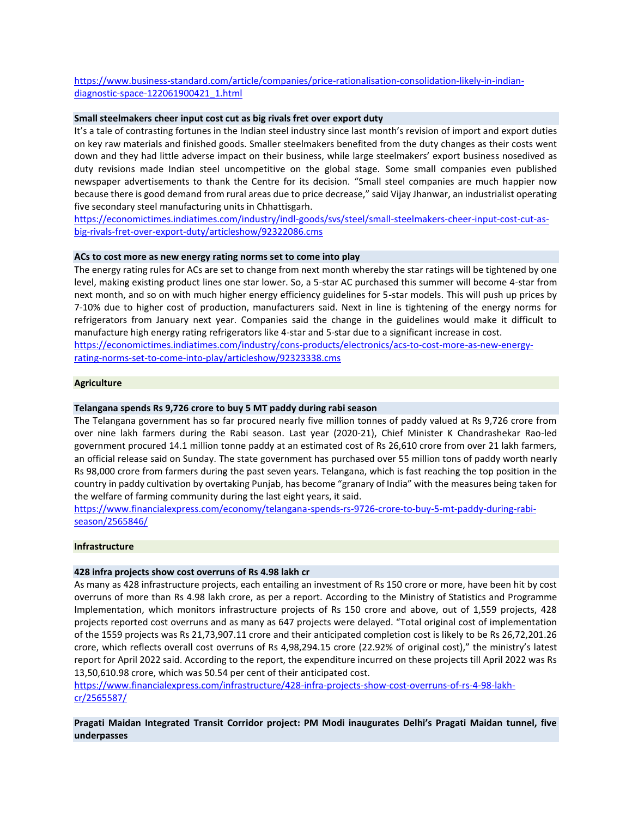# [https://www.business-standard.com/article/companies/price-rationalisation-consolidation-likely-in-indian](https://www.business-standard.com/article/companies/price-rationalisation-consolidation-likely-in-indian-diagnostic-space-122061900421_1.html)[diagnostic-space-122061900421\\_1.html](https://www.business-standard.com/article/companies/price-rationalisation-consolidation-likely-in-indian-diagnostic-space-122061900421_1.html)

# **Small steelmakers cheer input cost cut as big rivals fret over export duty**

It's a tale of contrasting fortunes in the Indian steel industry since last month's revision of import and export duties on key raw materials and finished goods. Smaller steelmakers benefited from the duty changes as their costs went down and they had little adverse impact on their business, while large steelmakers' export business nosedived as duty revisions made Indian steel uncompetitive on the global stage. Some small companies even published newspaper advertisements to thank the Centre for its decision. "Small steel companies are much happier now because there is good demand from rural areas due to price decrease," said Vijay Jhanwar, an industrialist operating five secondary steel manufacturing units in Chhattisgarh.

[https://economictimes.indiatimes.com/industry/indl-goods/svs/steel/small-steelmakers-cheer-input-cost-cut-as](https://economictimes.indiatimes.com/industry/indl-goods/svs/steel/small-steelmakers-cheer-input-cost-cut-as-big-rivals-fret-over-export-duty/articleshow/92322086.cms)[big-rivals-fret-over-export-duty/articleshow/92322086.cms](https://economictimes.indiatimes.com/industry/indl-goods/svs/steel/small-steelmakers-cheer-input-cost-cut-as-big-rivals-fret-over-export-duty/articleshow/92322086.cms)

# **ACs to cost more as new energy rating norms set to come into play**

The energy rating rules for ACs are set to change from next month whereby the star ratings will be tightened by one level, making existing product lines one star lower. So, a 5-star AC purchased this summer will become 4-star from next month, and so on with much higher energy efficiency guidelines for 5-star models. This will push up prices by 7-10% due to higher cost of production, manufacturers said. Next in line is tightening of the energy norms for refrigerators from January next year. Companies said the change in the guidelines would make it difficult to manufacture high energy rating refrigerators like 4-star and 5-star due to a significant increase in cost. [https://economictimes.indiatimes.com/industry/cons-products/electronics/acs-to-cost-more-as-new-energy-](https://economictimes.indiatimes.com/industry/cons-products/electronics/acs-to-cost-more-as-new-energy-rating-norms-set-to-come-into-play/articleshow/92323338.cms)

[rating-norms-set-to-come-into-play/articleshow/92323338.cms](https://economictimes.indiatimes.com/industry/cons-products/electronics/acs-to-cost-more-as-new-energy-rating-norms-set-to-come-into-play/articleshow/92323338.cms)

#### **Agriculture**

## **Telangana spends Rs 9,726 crore to buy 5 MT paddy during rabi season**

The Telangana government has so far procured nearly five million tonnes of paddy valued at Rs 9,726 crore from over nine lakh farmers during the Rabi season. Last year (2020-21), Chief Minister K Chandrashekar Rao-led government procured 14.1 million tonne paddy at an estimated cost of Rs 26,610 crore from over 21 lakh farmers, an official release said on Sunday. The state government has purchased over 55 million tons of paddy worth nearly Rs 98,000 crore from farmers during the past seven years. Telangana, which is fast reaching the top position in the country in paddy cultivation by overtaking Punjab, has become "granary of India" with the measures being taken for the welfare of farming community during the last eight years, it said.

[https://www.financialexpress.com/economy/telangana-spends-rs-9726-crore-to-buy-5-mt-paddy-during-rabi](https://www.financialexpress.com/economy/telangana-spends-rs-9726-crore-to-buy-5-mt-paddy-during-rabi-season/2565846/)[season/2565846/](https://www.financialexpress.com/economy/telangana-spends-rs-9726-crore-to-buy-5-mt-paddy-during-rabi-season/2565846/)

#### **Infrastructure**

## **428 infra projects show cost overruns of Rs 4.98 lakh cr**

As many as 428 infrastructure projects, each entailing an investment of Rs 150 crore or more, have been hit by cost overruns of more than Rs 4.98 lakh crore, as per a report. According to the Ministry of Statistics and Programme Implementation, which monitors infrastructure projects of Rs 150 crore and above, out of 1,559 projects, 428 projects reported cost overruns and as many as 647 projects were delayed. "Total original cost of implementation of the 1559 projects was Rs 21,73,907.11 crore and their anticipated completion cost is likely to be Rs 26,72,201.26 crore, which reflects overall cost overruns of Rs 4,98,294.15 crore (22.92% of original cost)," the ministry's latest report for April 2022 said. According to the report, the expenditure incurred on these projects till April 2022 was Rs 13,50,610.98 crore, which was 50.54 per cent of their anticipated cost.

[https://www.financialexpress.com/infrastructure/428-infra-projects-show-cost-overruns-of-rs-4-98-lakh](https://www.financialexpress.com/infrastructure/428-infra-projects-show-cost-overruns-of-rs-4-98-lakh-cr/2565587/)[cr/2565587/](https://www.financialexpress.com/infrastructure/428-infra-projects-show-cost-overruns-of-rs-4-98-lakh-cr/2565587/)

**Pragati Maidan Integrated Transit Corridor project: PM Modi inaugurates Delhi's Pragati Maidan tunnel, five underpasses**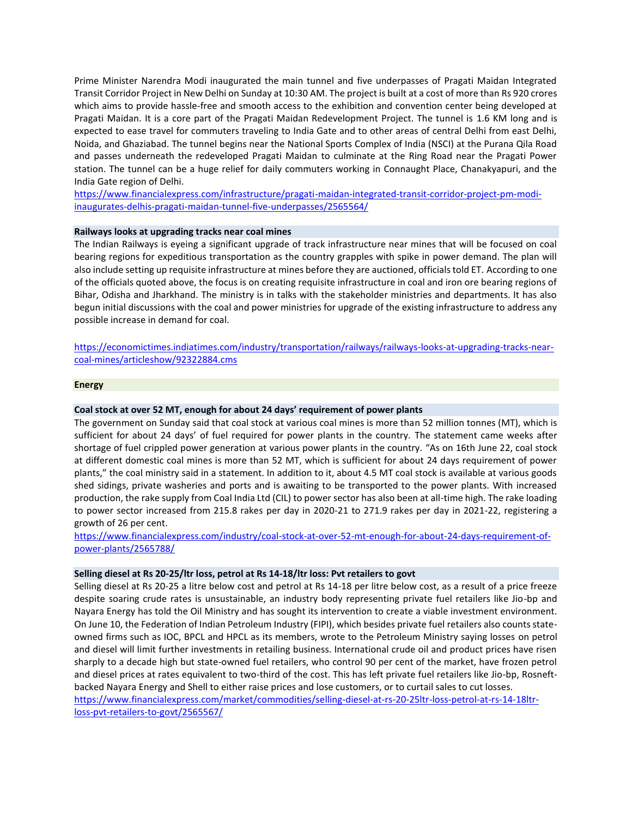Prime Minister Narendra Modi inaugurated the main tunnel and five underpasses of Pragati Maidan Integrated Transit Corridor Project in New Delhi on Sunday at 10:30 AM. The project is built at a cost of more than Rs 920 crores which aims to provide hassle-free and smooth access to the exhibition and convention center being developed at Pragati Maidan. It is a core part of the Pragati Maidan Redevelopment Project. The tunnel is 1.6 KM long and is expected to ease travel for commuters traveling to India Gate and to other areas of central Delhi from east Delhi, Noida, and Ghaziabad. The tunnel begins near the National Sports Complex of India (NSCI) at the Purana Qila Road and passes underneath the redeveloped Pragati Maidan to culminate at the Ring Road near the Pragati Power station. The tunnel can be a huge relief for daily commuters working in Connaught Place, Chanakyapuri, and the India Gate region of Delhi.

[https://www.financialexpress.com/infrastructure/pragati-maidan-integrated-transit-corridor-project-pm-modi](https://www.financialexpress.com/infrastructure/pragati-maidan-integrated-transit-corridor-project-pm-modi-inaugurates-delhis-pragati-maidan-tunnel-five-underpasses/2565564/)[inaugurates-delhis-pragati-maidan-tunnel-five-underpasses/2565564/](https://www.financialexpress.com/infrastructure/pragati-maidan-integrated-transit-corridor-project-pm-modi-inaugurates-delhis-pragati-maidan-tunnel-five-underpasses/2565564/)

# **Railways looks at upgrading tracks near coal mines**

The Indian Railways is eyeing a significant upgrade of track infrastructure near mines that will be focused on coal bearing regions for expeditious transportation as the country grapples with spike in power demand. The plan will also include setting up requisite infrastructure at mines before they are auctioned, officials told ET. According to one of the officials quoted above, the focus is on creating requisite infrastructure in coal and iron ore bearing regions of Bihar, Odisha and Jharkhand. The ministry is in talks with the stakeholder ministries and departments. It has also begun initial discussions with the coal and power ministries for upgrade of the existing infrastructure to address any possible increase in demand for coal.

[https://economictimes.indiatimes.com/industry/transportation/railways/railways-looks-at-upgrading-tracks-near](https://economictimes.indiatimes.com/industry/transportation/railways/railways-looks-at-upgrading-tracks-near-coal-mines/articleshow/92322884.cms)[coal-mines/articleshow/92322884.cms](https://economictimes.indiatimes.com/industry/transportation/railways/railways-looks-at-upgrading-tracks-near-coal-mines/articleshow/92322884.cms)

# **Energy**

# **Coal stock at over 52 MT, enough for about 24 days' requirement of power plants**

The government on Sunday said that coal stock at various coal mines is more than 52 million tonnes (MT), which is sufficient for about 24 days' of fuel required for power plants in the country. The statement came weeks after shortage of fuel crippled power generation at various power plants in the country. "As on 16th June 22, coal stock at different domestic coal mines is more than 52 MT, which is sufficient for about 24 days requirement of power plants," the coal ministry said in a statement. In addition to it, about 4.5 MT coal stock is available at various goods shed sidings, private washeries and ports and is awaiting to be transported to the power plants. With increased production, the rake supply from Coal India Ltd (CIL) to power sector has also been at all-time high. The rake loading to power sector increased from 215.8 rakes per day in 2020-21 to 271.9 rakes per day in 2021-22, registering a growth of 26 per cent.

[https://www.financialexpress.com/industry/coal-stock-at-over-52-mt-enough-for-about-24-days-requirement-of](https://www.financialexpress.com/industry/coal-stock-at-over-52-mt-enough-for-about-24-days-requirement-of-power-plants/2565788/)[power-plants/2565788/](https://www.financialexpress.com/industry/coal-stock-at-over-52-mt-enough-for-about-24-days-requirement-of-power-plants/2565788/)

## **Selling diesel at Rs 20-25/ltr loss, petrol at Rs 14-18/ltr loss: Pvt retailers to govt**

Selling diesel at Rs 20-25 a litre below cost and petrol at Rs 14-18 per litre below cost, as a result of a price freeze despite soaring crude rates is unsustainable, an industry body representing private fuel retailers like Jio-bp and Nayara Energy has told the Oil Ministry and has sought its intervention to create a viable investment environment. On June 10, the Federation of Indian Petroleum Industry (FIPI), which besides private fuel retailers also counts stateowned firms such as IOC, BPCL and HPCL as its members, wrote to the Petroleum Ministry saying losses on petrol and diesel will limit further investments in retailing business. International crude oil and product prices have risen sharply to a decade high but state-owned fuel retailers, who control 90 per cent of the market, have frozen petrol and diesel prices at rates equivalent to two-third of the cost. This has left private fuel retailers like Jio-bp, Rosneftbacked Nayara Energy and Shell to either raise prices and lose customers, or to curtail sales to cut losses. [https://www.financialexpress.com/market/commodities/selling-diesel-at-rs-20-25ltr-loss-petrol-at-rs-14-18ltr-](https://www.financialexpress.com/market/commodities/selling-diesel-at-rs-20-25ltr-loss-petrol-at-rs-14-18ltr-loss-pvt-retailers-to-govt/2565567/)

[loss-pvt-retailers-to-govt/2565567/](https://www.financialexpress.com/market/commodities/selling-diesel-at-rs-20-25ltr-loss-petrol-at-rs-14-18ltr-loss-pvt-retailers-to-govt/2565567/)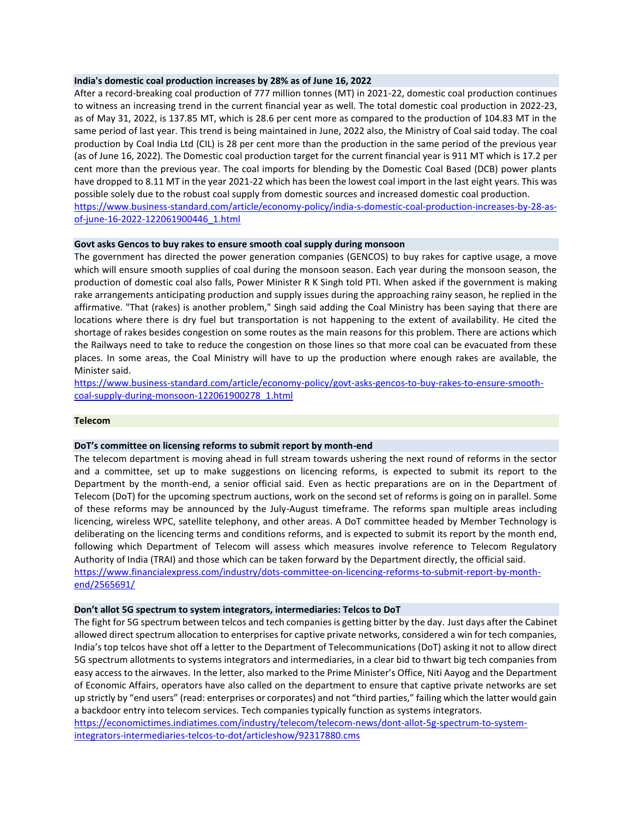## **India's domestic coal production increases by 28% as of June 16, 2022**

After a record-breaking coal production of 777 million tonnes (MT) in 2021-22, domestic coal production continues to witness an increasing trend in the current financial year as well. The total domestic coal production in 2022-23, as of May 31, 2022, is 137.85 MT, which is 28.6 per cent more as compared to the production of 104.83 MT in the same period of last year. This trend is being maintained in June, 2022 also, the Ministry of Coal said today. The coal production by Coal India Ltd (CIL) is 28 per cent more than the production in the same period of the previous year (as of June 16, 2022). The Domestic coal production target for the current financial year is 911 MT which is 17.2 per cent more than the previous year. The coal imports for blending by the Domestic Coal Based (DCB) power plants have dropped to 8.11 MT in the year 2021-22 which has been the lowest coal import in the last eight years. This was possible solely due to the robust coal supply from domestic sources and increased domestic coal production. [https://www.business-standard.com/article/economy-policy/india-s-domestic-coal-production-increases-by-28-as](https://www.business-standard.com/article/economy-policy/india-s-domestic-coal-production-increases-by-28-as-of-june-16-2022-122061900446_1.html)[of-june-16-2022-122061900446\\_1.html](https://www.business-standard.com/article/economy-policy/india-s-domestic-coal-production-increases-by-28-as-of-june-16-2022-122061900446_1.html)

# **Govt asks Gencos to buy rakes to ensure smooth coal supply during monsoon**

The government has directed the power generation companies (GENCOS) to buy rakes for captive usage, a move which will ensure smooth supplies of coal during the monsoon season. Each year during the monsoon season, the production of domestic coal also falls, Power Minister R K Singh told PTI. When asked if the government is making rake arrangements anticipating production and supply issues during the approaching rainy season, he replied in the affirmative. "That (rakes) is another problem," Singh said adding the Coal Ministry has been saying that there are locations where there is dry fuel but transportation is not happening to the extent of availability. He cited the shortage of rakes besides congestion on some routes as the main reasons for this problem. There are actions which the Railways need to take to reduce the congestion on those lines so that more coal can be evacuated from these places. In some areas, the Coal Ministry will have to up the production where enough rakes are available, the Minister said.

[https://www.business-standard.com/article/economy-policy/govt-asks-gencos-to-buy-rakes-to-ensure-smooth](https://www.business-standard.com/article/economy-policy/govt-asks-gencos-to-buy-rakes-to-ensure-smooth-coal-supply-during-monsoon-122061900278_1.html)[coal-supply-during-monsoon-122061900278\\_1.html](https://www.business-standard.com/article/economy-policy/govt-asks-gencos-to-buy-rakes-to-ensure-smooth-coal-supply-during-monsoon-122061900278_1.html)

# **Telecom**

# **DoT's committee on licensing reforms to submit report by month-end**

The telecom department is moving ahead in full stream towards ushering the next round of reforms in the sector and a committee, set up to make suggestions on licencing reforms, is expected to submit its report to the Department by the month-end, a senior official said. Even as hectic preparations are on in the Department of Telecom (DoT) for the upcoming spectrum auctions, work on the second set of reforms is going on in parallel. Some of these reforms may be announced by the July-August timeframe. The reforms span multiple areas including licencing, wireless WPC, satellite telephony, and other areas. A DoT committee headed by Member Technology is deliberating on the licencing terms and conditions reforms, and is expected to submit its report by the month end, following which Department of Telecom will assess which measures involve reference to Telecom Regulatory Authority of India (TRAI) and those which can be taken forward by the Department directly, the official said. [https://www.financialexpress.com/industry/dots-committee-on-licencing-reforms-to-submit-report-by-month](https://www.financialexpress.com/industry/dots-committee-on-licencing-reforms-to-submit-report-by-month-end/2565691/)[end/2565691/](https://www.financialexpress.com/industry/dots-committee-on-licencing-reforms-to-submit-report-by-month-end/2565691/)

#### **Don't allot 5G spectrum to system integrators, intermediaries: Telcos to DoT**

The fight for 5G spectrum between telcos and tech companies is getting bitter by the day. Just days after the Cabinet allowed direct spectrum allocation to enterprises for captive private networks, considered a win for tech companies, India's top telcos have shot off a letter to the Department of Telecommunications (DoT) asking it not to allow direct 5G spectrum allotments to systems integrators and intermediaries, in a clear bid to thwart big tech companies from easy access to the airwaves. In the letter, also marked to the Prime Minister's Office, Niti Aayog and the Department of Economic Affairs, operators have also called on the department to ensure that captive private networks are set up strictly by "end users" (read: enterprises or corporates) and not "third parties," failing which the latter would gain a backdoor entry into telecom services. Tech companies typically function as systems integrators.

[https://economictimes.indiatimes.com/industry/telecom/telecom-news/dont-allot-5g-spectrum-to-system](https://economictimes.indiatimes.com/industry/telecom/telecom-news/dont-allot-5g-spectrum-to-system-integrators-intermediaries-telcos-to-dot/articleshow/92317880.cms)[integrators-intermediaries-telcos-to-dot/articleshow/92317880.cms](https://economictimes.indiatimes.com/industry/telecom/telecom-news/dont-allot-5g-spectrum-to-system-integrators-intermediaries-telcos-to-dot/articleshow/92317880.cms)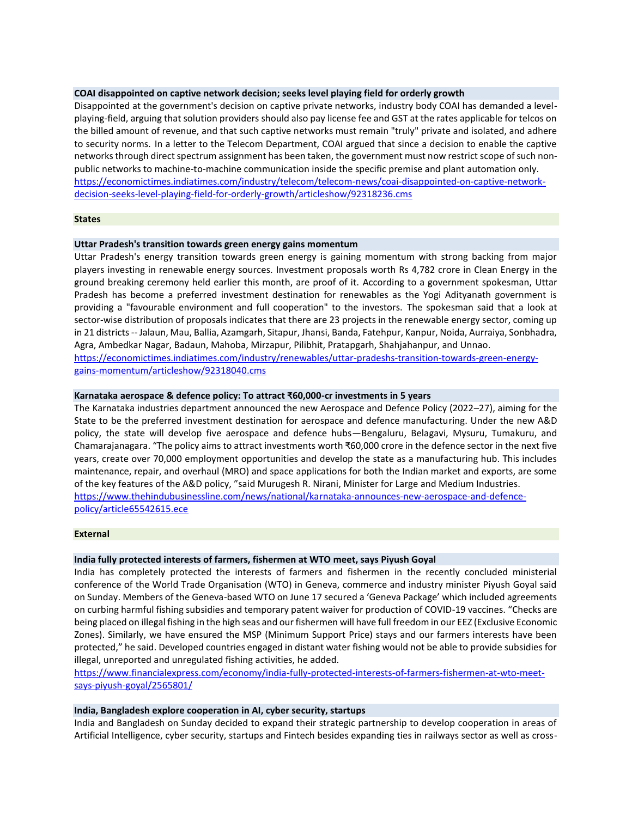# **COAI disappointed on captive network decision; seeks level playing field for orderly growth**

Disappointed at the government's decision on captive private networks, industry body COAI has demanded a levelplaying-field, arguing that solution providers should also pay license fee and GST at the rates applicable for telcos on the billed amount of revenue, and that such captive networks must remain "truly" private and isolated, and adhere to security norms. In a letter to the Telecom Department, COAI argued that since a decision to enable the captive networks through direct spectrum assignment has been taken, the government must now restrict scope of such nonpublic networks to machine-to-machine communication inside the specific premise and plant automation only. [https://economictimes.indiatimes.com/industry/telecom/telecom-news/coai-disappointed-on-captive-network](https://economictimes.indiatimes.com/industry/telecom/telecom-news/coai-disappointed-on-captive-network-decision-seeks-level-playing-field-for-orderly-growth/articleshow/92318236.cms)[decision-seeks-level-playing-field-for-orderly-growth/articleshow/92318236.cms](https://economictimes.indiatimes.com/industry/telecom/telecom-news/coai-disappointed-on-captive-network-decision-seeks-level-playing-field-for-orderly-growth/articleshow/92318236.cms)

#### **States**

#### **Uttar Pradesh's transition towards green energy gains momentum**

Uttar Pradesh's energy transition towards green energy is gaining momentum with strong backing from major players investing in renewable energy sources. Investment proposals worth Rs 4,782 crore in Clean Energy in the ground breaking ceremony held earlier this month, are proof of it. According to a government spokesman, Uttar Pradesh has become a preferred investment destination for renewables as the Yogi Adityanath government is providing a "favourable environment and full cooperation" to the investors. The spokesman said that a look at sector-wise distribution of proposals indicates that there are 23 projects in the renewable energy sector, coming up in 21 districts -- Jalaun, Mau, Ballia, Azamgarh, Sitapur, Jhansi, Banda, Fatehpur, Kanpur, Noida, Aurraiya, Sonbhadra, Agra, Ambedkar Nagar, Badaun, Mahoba, Mirzapur, Pilibhit, Pratapgarh, Shahjahanpur, and Unnao. [https://economictimes.indiatimes.com/industry/renewables/uttar-pradeshs-transition-towards-green-energy-](https://economictimes.indiatimes.com/industry/renewables/uttar-pradeshs-transition-towards-green-energy-gains-momentum/articleshow/92318040.cms)

[gains-momentum/articleshow/92318040.cms](https://economictimes.indiatimes.com/industry/renewables/uttar-pradeshs-transition-towards-green-energy-gains-momentum/articleshow/92318040.cms)

## **Karnataka aerospace & defence policy: To attract ₹60,000-cr investments in 5 years**

The Karnataka industries department announced the new Aerospace and Defence Policy (2022–27), aiming for the State to be the preferred investment destination for aerospace and defence manufacturing. Under the new A&D policy, the state will develop five aerospace and defence hubs—Bengaluru, Belagavi, Mysuru, Tumakuru, and Chamarajanagara. "The policy aims to attract investments worth ₹60,000 crore in the defence sector in the next five years, create over 70,000 employment opportunities and develop the state as a manufacturing hub. This includes maintenance, repair, and overhaul (MRO) and space applications for both the Indian market and exports, are some of the key features of the A&D policy, "said Murugesh R. Nirani, Minister for Large and Medium Industries. [https://www.thehindubusinessline.com/news/national/karnataka-announces-new-aerospace-and-defence](https://www.thehindubusinessline.com/news/national/karnataka-announces-new-aerospace-and-defence-policy/article65542615.ece)[policy/article65542615.ece](https://www.thehindubusinessline.com/news/national/karnataka-announces-new-aerospace-and-defence-policy/article65542615.ece)

## **External**

## **India fully protected interests of farmers, fishermen at WTO meet, says Piyush Goyal**

India has completely protected the interests of farmers and fishermen in the recently concluded ministerial conference of the World Trade Organisation (WTO) in Geneva, commerce and industry minister Piyush Goyal said on Sunday. Members of the Geneva-based WTO on June 17 secured a 'Geneva Package' which included agreements on curbing harmful fishing subsidies and temporary patent waiver for production of COVID-19 vaccines. "Checks are being placed on illegal fishing in the high seas and our fishermen will have full freedom in our EEZ (Exclusive Economic Zones). Similarly, we have ensured the MSP (Minimum Support Price) stays and our farmers interests have been protected," he said. Developed countries engaged in distant water fishing would not be able to provide subsidies for illegal, unreported and unregulated fishing activities, he added.

[https://www.financialexpress.com/economy/india-fully-protected-interests-of-farmers-fishermen-at-wto-meet](https://www.financialexpress.com/economy/india-fully-protected-interests-of-farmers-fishermen-at-wto-meet-says-piyush-goyal/2565801/)[says-piyush-goyal/2565801/](https://www.financialexpress.com/economy/india-fully-protected-interests-of-farmers-fishermen-at-wto-meet-says-piyush-goyal/2565801/)

# **India, Bangladesh explore cooperation in AI, cyber security, startups**

India and Bangladesh on Sunday decided to expand their strategic partnership to develop cooperation in areas of Artificial Intelligence, cyber security, startups and Fintech besides expanding ties in railways sector as well as cross